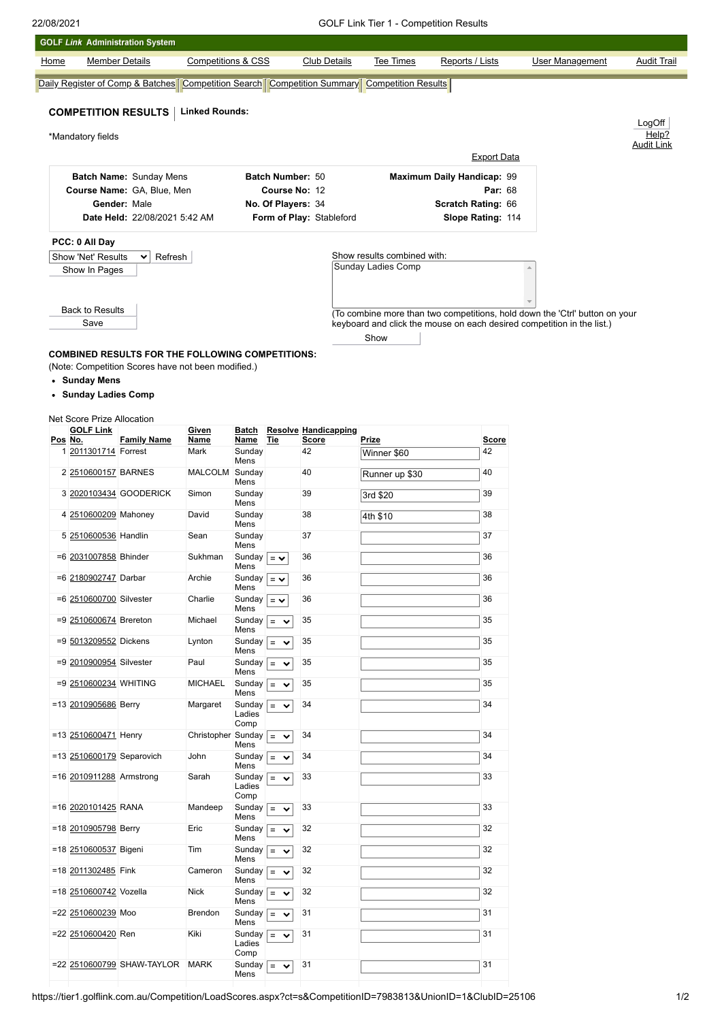|      | <b>GOLF Link Administration System</b>                |                                                         |                                              |                                                  |                    |                                             |                                                                                                   |                            |                                                                                                                                                       |                    |  |  |
|------|-------------------------------------------------------|---------------------------------------------------------|----------------------------------------------|--------------------------------------------------|--------------------|---------------------------------------------|---------------------------------------------------------------------------------------------------|----------------------------|-------------------------------------------------------------------------------------------------------------------------------------------------------|--------------------|--|--|
| Home |                                                       | <b>Member Details</b>                                   | <b>Competitions &amp; CSS</b>                |                                                  |                    | <b>Club Details</b>                         | Tee Times                                                                                         | Reports / Lists            | <b>User Management</b>                                                                                                                                | <b>Audit Trail</b> |  |  |
|      |                                                       |                                                         |                                              |                                                  |                    |                                             | Daily Register of Comp & Batches   Competition Search   Competition Summary   Competition Results |                            |                                                                                                                                                       |                    |  |  |
|      |                                                       | <b>COMPETITION RESULTS</b>                              | <b>Linked Rounds:</b>                        |                                                  |                    |                                             |                                                                                                   |                            |                                                                                                                                                       |                    |  |  |
|      |                                                       |                                                         |                                              |                                                  |                    |                                             |                                                                                                   |                            |                                                                                                                                                       | LogOff<br>Help?    |  |  |
|      | *Mandatory fields                                     |                                                         |                                              |                                                  |                    |                                             |                                                                                                   | <b>Export Data</b>         |                                                                                                                                                       | <b>Audit Link</b>  |  |  |
|      |                                                       |                                                         |                                              |                                                  | Batch Number: 50   |                                             |                                                                                                   | Maximum Daily Handicap: 99 |                                                                                                                                                       |                    |  |  |
|      | Batch Name: Sunday Mens<br>Course Name: GA, Blue, Men |                                                         |                                              |                                                  | Course No: 12      |                                             |                                                                                                   | Par: 68                    |                                                                                                                                                       |                    |  |  |
|      | Gender: Male                                          |                                                         |                                              |                                                  | No. Of Players: 34 |                                             |                                                                                                   | <b>Scratch Rating: 66</b>  |                                                                                                                                                       |                    |  |  |
|      |                                                       | Date Held: 22/08/2021 5:42 AM                           |                                              |                                                  |                    | Form of Play: Stableford                    |                                                                                                   | Slope Rating: 114          |                                                                                                                                                       |                    |  |  |
|      | PCC: 0 All Day                                        |                                                         |                                              |                                                  |                    |                                             |                                                                                                   |                            |                                                                                                                                                       |                    |  |  |
|      | Show 'Net' Results                                    | Refresh<br>び                                            |                                              |                                                  |                    |                                             | Show results combined with:<br>Sunday Ladies Comp                                                 |                            |                                                                                                                                                       |                    |  |  |
|      | Show In Pages                                         |                                                         |                                              |                                                  |                    |                                             |                                                                                                   |                            |                                                                                                                                                       |                    |  |  |
|      |                                                       |                                                         |                                              |                                                  |                    |                                             |                                                                                                   |                            |                                                                                                                                                       |                    |  |  |
|      | <b>Back to Results</b><br>Save                        |                                                         |                                              |                                                  |                    |                                             |                                                                                                   |                            | (To combine more than two competitions, hold down the 'Ctrl' button on your<br>keyboard and click the mouse on each desired competition in the list.) |                    |  |  |
|      |                                                       |                                                         |                                              |                                                  |                    |                                             | Show                                                                                              |                            |                                                                                                                                                       |                    |  |  |
|      |                                                       | <b>COMBINED RESULTS FOR THE FOLLOWING COMPETITIONS:</b> |                                              |                                                  |                    |                                             |                                                                                                   |                            |                                                                                                                                                       |                    |  |  |
|      |                                                       | (Note: Competition Scores have not been modified.)      |                                              |                                                  |                    |                                             |                                                                                                   |                            |                                                                                                                                                       |                    |  |  |
|      | • Sunday Mens                                         |                                                         |                                              |                                                  |                    |                                             |                                                                                                   |                            |                                                                                                                                                       |                    |  |  |
|      | • Sunday Ladies Comp                                  |                                                         |                                              |                                                  |                    |                                             |                                                                                                   |                            |                                                                                                                                                       |                    |  |  |
|      | Net Score Prize Allocation                            |                                                         |                                              |                                                  |                    |                                             |                                                                                                   |                            |                                                                                                                                                       |                    |  |  |
|      | <b>GOLF Link</b><br>Pos No.                           | <b>Family Name</b>                                      | Given<br>Name                                | Batch<br>Name                                    | Tie                | <b>Resolve Handicapping</b><br><b>Score</b> | Prize                                                                                             | <u>Score</u>               |                                                                                                                                                       |                    |  |  |
|      | 1 2011301714 Forrest                                  |                                                         | Mark                                         | Sunday<br>Mens                                   |                    | 42                                          | Winner \$60                                                                                       | 42                         |                                                                                                                                                       |                    |  |  |
|      | 2 2510600157 BARNES                                   |                                                         | MALCOLM Sunday                               | Mens                                             |                    | 40                                          | Runner up \$30                                                                                    | 40                         |                                                                                                                                                       |                    |  |  |
|      |                                                       | 3 2020103434 GOODERICK                                  | Simon                                        | Sunday<br>Mens                                   |                    | 39                                          | 3rd \$20                                                                                          | 39                         |                                                                                                                                                       |                    |  |  |
|      | 4 2510600209 Mahoney                                  |                                                         | David                                        | Sunday<br>Mens                                   |                    | 38                                          | 4th \$10                                                                                          | 38                         |                                                                                                                                                       |                    |  |  |
|      | 5 2510600536 Handlin                                  |                                                         | Sean                                         | Sunday<br>Mens                                   |                    | 37                                          |                                                                                                   | 37                         |                                                                                                                                                       |                    |  |  |
|      | =6 2031007858 Bhinder                                 |                                                         | Sukhman                                      | Sunday $\vert = \vee$<br>Mens                    |                    | 36                                          |                                                                                                   | 36                         |                                                                                                                                                       |                    |  |  |
|      | =6 2180902747 Darbar                                  |                                                         | Archie                                       | Sunday $\vert = \vee$<br>Mens                    |                    | 36                                          |                                                                                                   | 36                         |                                                                                                                                                       |                    |  |  |
|      | =6 2510600700 Silvester                               |                                                         | Charlie                                      | Sunday $\boxed{= \checkmark}$<br>Mens            |                    | 36                                          |                                                                                                   | 36                         |                                                                                                                                                       |                    |  |  |
|      | =9 2510600674 Brereton                                |                                                         | Michael                                      | Sunday $\boxed{=}$ $\rightarrow$<br>Mens         |                    | 35                                          |                                                                                                   | 35                         |                                                                                                                                                       |                    |  |  |
|      | =9 5013209552 Dickens                                 |                                                         | Lynton                                       | Sunday $\vert = \vee$<br>Mens                    |                    | 35                                          |                                                                                                   | 35                         |                                                                                                                                                       |                    |  |  |
|      | =9 2010900954 Silvester                               |                                                         | Paul                                         | Sunday $\boxed{=}$ $\rightarrow$<br>Mens         |                    | 35                                          |                                                                                                   | 35                         |                                                                                                                                                       |                    |  |  |
|      | =9 2510600234 WHITING                                 |                                                         | <b>MICHAEL</b>                               | Sunday $\vert$ =<br>Mens                         | $\checkmark$       | 35                                          |                                                                                                   | 35                         |                                                                                                                                                       |                    |  |  |
|      | =13 2010905686 Berry                                  |                                                         | Margaret                                     | Sunday $\vert = \vee$<br>Ladies                  |                    | 34                                          |                                                                                                   | 34                         |                                                                                                                                                       |                    |  |  |
|      | =13 2510600471 Henry                                  |                                                         | Christopher Sunday $\boxed{=}$ $\rightarrow$ | Comp                                             |                    | 34                                          |                                                                                                   | 34                         |                                                                                                                                                       |                    |  |  |
|      | =13 2510600179 Separovich                             |                                                         | John                                         | Mens<br>Sunday $\vert = \vee$                    |                    | 34                                          |                                                                                                   | 34                         |                                                                                                                                                       |                    |  |  |
|      | =16 2010911288 Armstrong                              |                                                         | Sarah                                        | Mens<br>Sunday $\vert = \rangle$                 |                    | 33                                          |                                                                                                   | 33                         |                                                                                                                                                       |                    |  |  |
|      |                                                       |                                                         |                                              | Ladies<br>Comp                                   |                    |                                             |                                                                                                   |                            |                                                                                                                                                       |                    |  |  |
|      | =16 2020101425 RANA                                   |                                                         | Mandeep                                      | Sunday $\boxed{=}$ $\rightarrow$<br>Mens         |                    | 33                                          |                                                                                                   | 33                         |                                                                                                                                                       |                    |  |  |
|      | =18 2010905798 Berry                                  |                                                         | Eric                                         | Sunday $\boxed{=}$ $\blacktriangleright$<br>Mens |                    | 32                                          |                                                                                                   | 32                         |                                                                                                                                                       |                    |  |  |
|      | =18 2510600537 Bigeni                                 |                                                         | Tim                                          | Sunday $\vert = \mathbf{\check{v}}$<br>Mens      |                    | 32                                          |                                                                                                   | 32                         |                                                                                                                                                       |                    |  |  |
|      | =18 2011302485 Fink                                   |                                                         | Cameron                                      | Sunday $\boxed{=}$ $\rightarrow$<br>Mens         |                    | 32                                          |                                                                                                   | 32                         |                                                                                                                                                       |                    |  |  |
|      | =18 2510600742 Vozella                                |                                                         | <b>Nick</b>                                  | Sunday $\vert = \vee$<br>Mens                    |                    | 32                                          |                                                                                                   | 32                         |                                                                                                                                                       |                    |  |  |
|      | =22 2510600239 Moo                                    |                                                         | Brendon                                      | Sunday $\boxed{=}$<br>Mens                       | $\checkmark$       | 31                                          |                                                                                                   | 31                         |                                                                                                                                                       |                    |  |  |

 $=$   $\sqrt{31}$  31 31

Sunday  $=$   $\sim$  31  $\sim$  31  $\sim$  31  $\sim$ 

Ladies Comp

=22 [2510600420](javascript:__doPostBack() Ren Kiki

=22 [2510600799](javascript:__doPostBack() SHAW-TAYLOR MARK